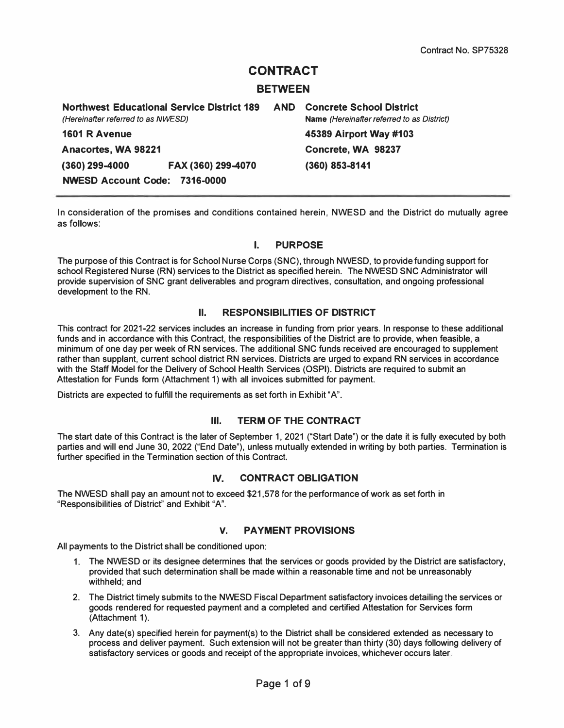# **CONTRACT**

#### **BETWEEN**

**Northwest Educational Service District 189 AND Concrete School District**  *(Hereinafter referred to as NWE.SD)* **Name** *(Hereinafter referred to as District)*  **1601 R Avenue 45389 Airport Way #103 Anacortes, WA 98221 Concrete, WA 98237 (360) 299-4000 FAX (360) 299-4070 (360) 853-8141 NWESD Account Code: 7316-0000** 

**In consideration of the promises and conditions contained herein, NWESD and the District do mutually agree as follows:** 

#### **I. PURPOSE**

**The purpose of this Contract is for School Nurse Corps (SNC), through NWESD, to provide funding support for**  school Registered Nurse (RN) services to the District as specified herein. The NWESD SNC Administrator will **provide supervision of SNC grant deliverables and program directives, consultation, and ongoing professional development to the RN.** 

#### **II. RESPONSIBILITIES OF DISTRICT**

**This contract for 2021-22 services includes an increase in funding from prior years. In response to these additional funds and in accordance with this Contract, the responsibilities of the District are to provide, when feasible, a minimum of one day per week of RN services. The additional SNC funds received are encouraged to supplement rather than supplant, current school district RN services. Districts are urged to expand RN services in accordance with the Staff Model for the Delivery of School Health Services (OSPI). Districts are required to submit an Attestation for Funds form (Attachment 1) with all invoices submitted for payment.** 

**Districts are expected to fulfill the requirements as set forth in Exhibit "A".** 

#### **Ill. TERM OF THE CONTRACT**

**The start date of this Contract is the later of September 1, 2021 ("Start Date") or the date it is fully executed by both parties and will end June 30, 2022 ("End Date"), unless mutually extended in writing by both parties. Termination is further specified in the Termination section of this Contract.** 

#### **IV. CONTRACT OBLIGATION**

**The NWESD shall pay an amount not to exceed \$21,578 for the performance of work as set forth in "Responsibilities of District" and Exhibit "A".** 

#### **V. PAYMENT PROVISIONS**

**All payments to the District shall be conditioned upon:** 

- **1. The NWESD or its designee determines that the services or goods provided by the District are satisfactory, provided that such determination shall be made within a reasonable time and not be unreasonably withheld; and**
- **2. The District timely submits to the NWESD Fiscal Department satisfactory invoices detailing the services or goods rendered for requested payment and a completed and certified Attestation for Services form**  (Attachment 1).
- **3. Any date(s) specified herein for payment(s) to the District shall be considered extended as necessary to process and deliver payment. Such extension will not be greater than thirty (30) days following delivery of satisfactory services or goods and receipt of the appropriate invoices, whichever occurs later.**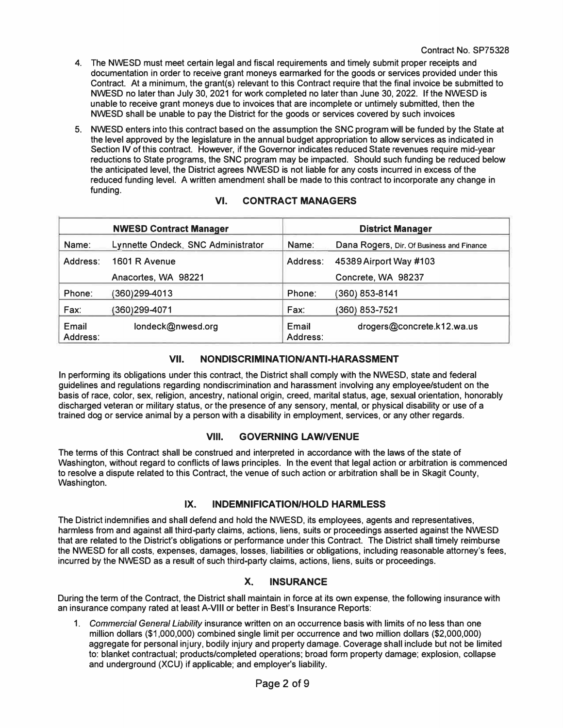- **4. The NWESD must meet certain legal and fiscal requirements and timely submit proper receipts and documentation in order to receive grant moneys earmarked for the goods or services provided under this Contract. At a minimum, the grant(s) relevant to this Contract require that the final invoice be submitted to NWESD no later than July 30, 2021 for work completed no later than June 30, 2022. If the NWESD is unable to receive grant moneys due to invoices that are incomplete or untimely submitted, then the NWESD shall be unable to pay the District for the goods or services covered by such invoices**
- **5. NWESD enters into this contract based on the assumption the SNC program will be funded by the State at the level approved by the legislature in the annual budget appropriation to allow services as indicated in Section IV of this contract. However, if the Governor indicates reduced State revenues require mid-year reductions to State programs, the SNC program may be impacted. Should such funding be reduced below the anticipated level, the District agrees NWESD is not liable for any costs incurred in excess of the reduced funding level. A written amendment shall be made to this contract to incorporate any change in funding.**

|                   | <b>NWESD Contract Manager</b>      | <b>District Manager</b> |                                           |
|-------------------|------------------------------------|-------------------------|-------------------------------------------|
| Name:             | Lynnette Ondeck, SNC Administrator | Name:                   | Dana Rogers, Dir. Of Business and Finance |
| Address:          | 1601 R Avenue                      | Address:                | 45389 Airport Way #103                    |
|                   | Anacortes, WA 98221                |                         | Concrete, WA 98237                        |
| Phone:            | (360)299-4013                      | Phone:                  | 360) 853-8141                             |
| Fax:              | (360)299-4071                      | Fax:                    | (360) 853-7521                            |
| Email<br>Address: | londeck@nwesd.org                  | Email<br>Address:       | drogers@concrete.k12.wa.us                |

#### **VI. CONTRACT MANAGERS**

#### **VII. NONDISCRIMINATION/ANTI-HARASSMENT**

**In performing its obligations under this contract, the District shall comply with the NWESD, state and federal guidelines and regulations regarding nondiscrimination and harassment involving any employee/student on the basis of race, color, sex, religion, ancestry, national origin, creed, marital status, age, sexual orientation, honorably discharged veteran or military status, or the presence of any sensory, mental, or physical disability or use of a trained dog or service animal by a person with a disability in employment, services, or any other regards.** 

#### **VIII. GOVERNING LAW/VENUE**

**The terms of this Contract shall be construed and interpreted in accordance with the laws of the state of Washington, without regard to conflicts of laws principles. In the event that legal action or arbitration is commenced to resolve a dispute related to this Contract, the venue of such action or arbitration shall be in Skagit County, Washington.** 

#### **IX. INDEMNIFICATION/HOLD HARMLESS**

**The District indemnifies and shall defend and hold the NWESD, its employees, agents and representatives, harmless from and against all third-party claims, actions, liens, suits or proceedings asserted against the NWESD that are related to the District's obligations or performance under this Contract. The District shall timely reimburse the NWESD for all costs, expenses, damages, losses, liabilities or obligations, including reasonable attorney's fees, incurred by the NWESD as a result of such third-party claims, actions, liens, suits or proceedings.** 

#### **X. INSURANCE**

**During the term of the Contract, the District shall maintain in force at its own expense, the following insurance with an insurance company rated at least A-VIII or better in Best's Insurance Reports:** 

**1.**  *Commercial General Liability* **insurance written on an occurrence basis with limits of no less than one million dollars (\$1,000,000) combined single limit per occurrence and two million dollars (\$2,000,000) aggregate for personal injury, bodily injury and property damage. Coverage shall include but not be limited to: blanket contractual; products/completed operations; broad form property damage; explosion, collapse and underground (XCU) if applicable; and employer's liability.**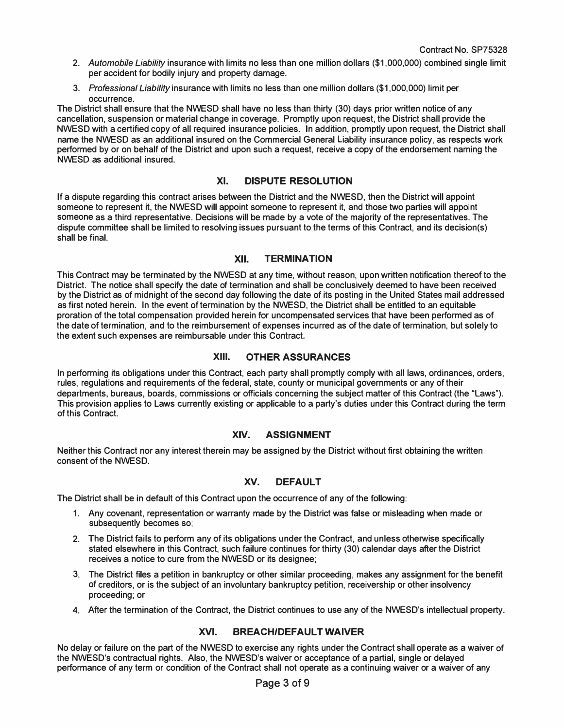- **2.** *Automobile Liability* **insurance with limits no less than one million dollars (\$1,000,000) combined single limit per accident for bodily injury and property damage.**
- **3.** *Professional Liability* **insurance with limits no less than one million dollars (\$1,000,000) limit per occurrence.**

**The District shall ensure that the NWESD shall have no less than thirty (30) days prior written notice of any cancellation, suspension or material change in coverage. Promptly upon request, the District shall provide the NWESD with a certified copy of all required insurance policies. In addition, promptly upon request, the District shall name the NWESD as an additional insured on the Commercial General Liability insurance policy, as respects work performed by or on behalf of the District and upon such a request, receive a copy of the endorsement naming the NWESD as additional insured.** 

#### **XI. DISPUTE RESOLUTION**

**If a dispute regarding this contract arises between the District and the NWESD, then the District will appoint someone to represent it, the NWESD will appoint someone to represent it, and those two parties will appoint someone as a third representative. Decisions will be made by a vote of the majority of the representatives. The dispute committee shall be limited to resolving issues pursuant to the terms of this Contract, and its decision(s) shall be final.** 

#### **XII. TERMINATION**

**This Contract may be terminated by the NWESD at any time, without reason, upon written notification thereof to the District. The notice shall specify the date of termination and shall be conclusively deemed to have been received by the District as of midnight of the second day following the date of its posting in the United States mail addressed as first noted herein. In the event of termination by the NWESD, the District shall be entitled to an equitable proration of the total compensation provided herein for uncompensated services that have been performed as of the date of termination, and to the reimbursement of expenses incurred as of the date of termination, but solely to the extent such expenses are reimbursable under this Contract.** 

#### **XIII. OTHER ASSURANCES**

**In performing its obligations under this Contract, each party shall promptly comply with all laws, ordinances, orders, rules, regulations and requirements of the federal, state, county or municipal governments or any of their departments, bureaus, boards, commissions or officials concerning the subject matter of this Contract (the "Laws"). This provision applies to Laws currently existing or applicable to a party's duties under this Contract during the term of this Contract.** 

#### **XIV. ASSIGNMENT**

**Neither this Contract nor any interest therein may be assigned by the District without first obtaining the written consent of the NWESD.** 

### **XV. DEFAULT**

**The District shall be in default of this Contract upon the occurrence of any of the following:** 

- **1. Any covenant, representation or warranty made by the District was false or misleading when made or subsequently becomes so;**
- **2. The District fails to perform any of its obligations under the Contract, and unless otherwise specifically stated elsewhere in this Contract, such failure continues for thirty (30) calendar days after the District receives a notice to cure from the NWESD or its designee;**
- **3. The District files a petition in bankruptcy or other similar proceeding, makes any assignment for the benefit of creditors, or is the subject of an involuntary bankruptcy petition, receivership or other insolvency proceeding; or**
- **4. After the termination of the Contract, the District continues to use any of the NWESD's intellectual property.**

#### **XVI. BREACH/DEFAULT WAIVER**

**No delay or failure on the part of the NWESD to exercise any rights under the Contract shall operate as a waiver of the NWESD's contractual rights. Also, the NWESD's waiver or acceptance of a partial, single or delayed performance of any term or condition of the Contract shall not operate as a continuing waiver or a waiver of any**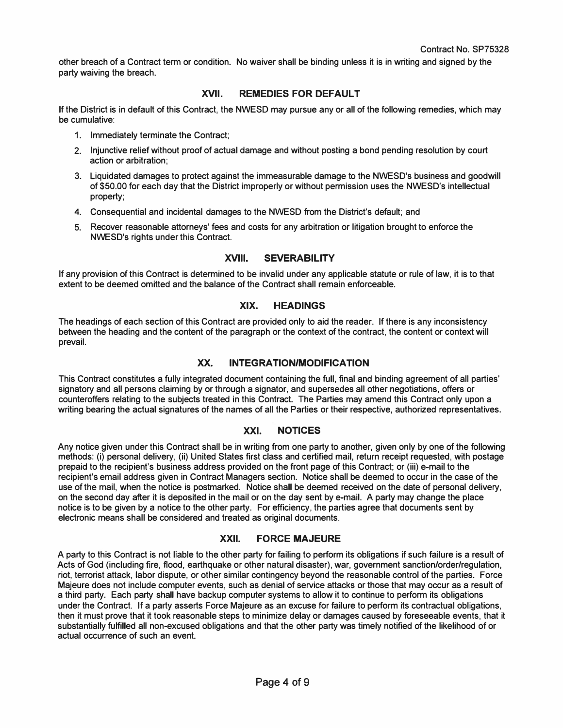**other breach of a Contract term or condition. No waiver shall be binding unless it is in writing and signed by the party waiving the breach.** 

#### **XVII. REMEDIES FOR DEFAULT**

**If the District is in default of this Contract, the NWESD may pursue any or all of the following remedies, which may be cumulative:** 

- **1. Immediately terminate the Contract;**
- 1. Immediately terminate the Contract;<br>2. Injunctive relief without proof of actual damage and without posting a bond pending resolution by court **action or arbitration;**
- **3. Liquidated damages to protect against the immeasurable damage to the NWESD's business and goodwill of \$50.00 for each day that the District improperly or without permission uses the NWESD's intellectual property;**
- **4. Consequential and incidental damages to the NWESD from the District's default; and**
- **5. Recover reasonable attorneys' fees and costs for any arbitration or litigation brought to enforce the NWESD's rights under this Contract.**

#### **XVIII. SEVERABILITY**

**If any provision of this Contract is determined to be invalid under any applicable statute or rule of law, it is to that extent to be deemed omitted and the balance of the Contract shall remain enforceable.** 

#### **XIX. HEADINGS**

**The headings of each section of this Contract are provided only to aid the reader. If there is any inconsistency between the heading and the content of the paragraph or the context of the contract, the content or context will prevail.** 

#### **XX. INTEGRATION/MODIFICATION**

**This Contract constitutes a fully integrated document containing the full, final and binding agreement of all parties' signatory and all persons claiming by or through a signator, and supersedes all other negotiations, offers or counteroffers relating to the subjects treated in this Contract. The Parties may amend this Contract only upon a writing bearing the actual signatures of the names of all the Parties or their respective, authorized representatives.** 

#### **XXI. NOTICES**

**Any notice given under this Contract shall be in writing from one party to another, given only by one of the following methods: (i) personal delivery, (ii) United States first class and certified mail, return receipt requested, with postage prepaid to the recipient's business address provided on the front page of this Contract; or (iii) e-mail to the recipient's email address given in Contract Managers section. Notice shall be deemed to occur in the case of the use of the mail, when the notice is postmarked. Notice shall be deemed received on the date of personal delivery, on the second day after it is deposited in the mail or on the day sent by e-mail. A party may change the place notice is to be given by a notice to the other party. For efficiency, the parties agree that documents sent by electronic means shall be considered and treated as original documents.** 

#### **XXII. FORCE MAJEURE**

**A party to this Contract is not liable to the other party for failing to perform its obligations if such failure is a result of Acts of God (including fire, flood, earthquake or other natural disaster), war, government sanction/order/regulation, riot, terrorist attack, labor dispute, or other similar contingency beyond the reasonable control of the parties. Force Majeure does not include computer events, such as denial of service attacks or those that may occur as a result of a third party. Each party shall have backup computer systems to allow it to continue to perform its obligations under the Contract. If a party asserts Force Majeure as an excuse for failure to perform its contractual obligations, then it must prove that it took reasonable steps to minimize delay or damages caused by foreseeable events, that it substantially fulfilled all non-excused obligations and that the other party was timely notified of the likelihood of or actual occurrence of such an event.**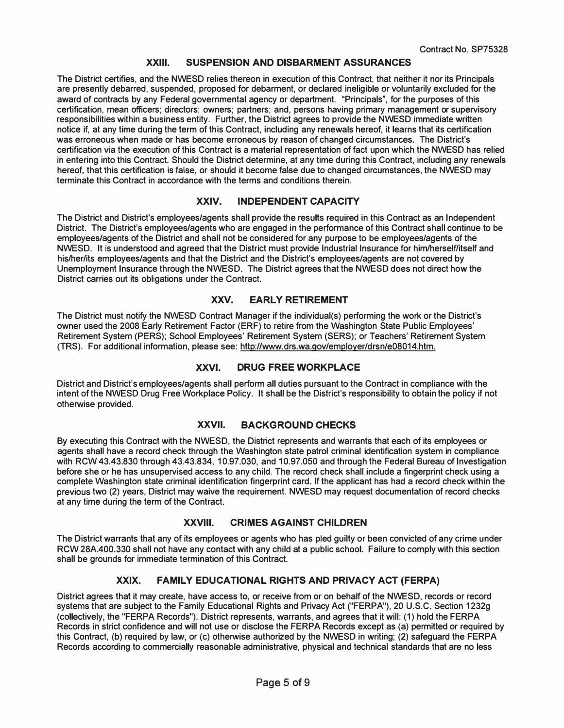#### **XXIII. SUSPENSION AND DISBARMENT ASSURANCES**

**The District certifies, and the NWESD relies thereon in execution of this Contract, that neither it nor its Principals are presently debarred, suspended, proposed for debarment, or declared ineligible or voluntarily excluded for the award of contracts by any Federal governmental agency or department. "Principals", for the purposes of this certification, mean officers; directors; owners; partners; and, persons having primary management or supervisory responsibilities within a business entity. Further, the District agrees to provide the NWESD immediate written notice if, at any time during the term of this Contract, including any renewals hereof, it learns that its certification was erroneous when made or has become erroneous by reason of changed circumstances. The District's certification via the execution of this Contract is a material representation of fact upon which the NWESD has relied in entering into this Contract. Should the District determine, at any time during this Contract, including any renewals hereof, that this certification is false, or should it become false due to changed circumstances, the NWESD may terminate this Contract in accordance with the terms and conditions therein.** 

#### **XXIV. INDEPENDENT CAPACITY**

**The District and District's employees/agents shall provide the results required in this Contract as an Independent District. The District's employees/agents who are engaged in the performance of this Contract shall continue to be employees/agents of the District and shall not be considered for any purpose to be employees/agents of the NWESD. It is understood and agreed that the District must provide Industrial Insurance for him/herself/itself and his/her/its employees/agents and that the District and the District's employees/agents are not covered by Unemployment Insurance through the NWESD. The District agrees that the NWESD does not direct how the District carries out its obligations under the Contract.** 

### **XXV. EARLY RETIREMENT**

**The District must notify the NWESD Contract Manager if the individual(s) performing the work or the District's owner used the 2008 Early Retirement Factor (ERF) to retire from the Washington State Public Employees' Retirement System (PERS); School Employees' Retirement System (SERS); or Teachers' Retirement System (TRS). For additional information, please see: <http://www.drs.wa.gov/employer/drsn/e08014.htm>.** 

#### **XXVI. DRUG FREE WORKPLACE**

**District and District's employees/agents shall perform all duties pursuant to the Contract in compliance with the intent of the NWESD Drug Free Workplace Policy. It shall be the District's responsibility to obtain the policy if not otherwise provided.** 

#### **XXVII. BACKGROUND CHECKS**

**By executing this Contract with the NWESD, the District represents and warrants that each of its employees or agents shall have a record check through the Washington state patrol criminal identification system in compliance with RCW 43.43.830 through 43.43.834, 10.97.030, and 10.97.050 and through the Federal Bureau of Investigation before she or he has unsupervised access to any child. The record check shall include a fingerprint check using a complete Washington state criminal identification fingerprint card. If the applicant has had a record check within the previous two (2) years, District may waive the requirement. NWESD may request documentation of record checks at any time during the term of the Contract.** 

#### **XXVIII. CRIMES AGAINST CHILDREN**

**The District warrants that any of its employees or agents who has pied guilty or been convicted of any crime under RCW 28A.400.330 shall not have any contact with any child at a public school. Failure to comply with this section shall be grounds for immediate termination of this Contract.** 

#### **XXIX. FAMILY EDUCATIONAL RIGHTS AND PRIVACY ACT (FERPA)**

**District agrees that it may create, have access to, or receive from or on behalf of the NWESD, records or record systems that are subject to the Family Educational Rights and Privacy Act ("FERPA"), 20 U.S.C. Section 1232g (collectively, the "FERPA Records"). District represents, warrants, and agrees that it will: (1) hold the FERPA Records in strict confidence and will not use or disclose the FERPA Records except as (a) permitted or required by this Contract, (b) required by law, or (c) otherwise authorized by the NWESD in writing; (2) safeguard the FERPA Records according to commercially reasonable administrative, physical and technical standards that are no less**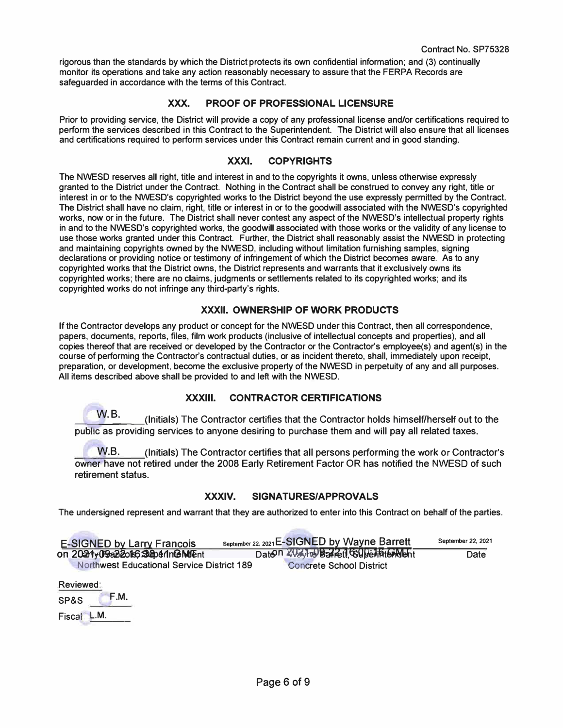**rigorous than the standards by which the District protects its own confidential information; and (3) continually monitor its operations and take any action reasonably necessary to assure that the FERPA Records are safeguarded in accordance with the terms of this Contract.** 

#### **XXX. PROOF OF PROFESSIONAL LICENSURE**

**Prior to providing service, the District will provide a copy of any professional license and/or certifications required to perform the services described in this Contract to the Superintendent. The District will also ensure that all licenses and certifications required to perform services under this Contract remain current and in good standing.** 

#### **XXXI. COPYRIGHTS**

**The NWESD reserves all right, title and interest in and to the copyrights it owns, unless otherwise expressly granted to the District under the Contract. Nothing in the Contract shall be construed to convey any right, title or interest in or to the NWESD's copyrighted works to the District beyond the use expressly permitted by the Contract. The District shall have no claim, right, title or interest in or to the goodwill associated with the NWESD's copyrighted works, now or in the future. The District shall never contest any aspect of the NWESD's intellectual property rights in and to the NWESD's copyrighted works, the goodwill associated with those works or the validity of any license to use those works granted under this Contract. Further, the District shall reasonably assist the NWESD in protecting and maintaining copyrights owned by the NWESD, including without limitation furnishing samples, signing declarations or providing notice or testimony of infringement of which the District becomes aware. As to any copyrighted works that the District owns, the District represents and warrants that it exclusively owns its copyrighted works; there are no claims, judgments or settlements related to its copyrighted works; and its copyrighted works do not infringe any third-party's rights.** 

### **XXXII. OWNERSHIP OF WORK PRODUCTS**

**If the Contractor develops any product or concept for the NWESD under this Contract, then all correspondence, papers, documents, reports, files, film work products (inclusive of intellectual concepts and properties), and all copies thereof that are received or developed by the Contractor or the Contractor's employee(s) and agent(s) in the course of performing the Contractor's contractual duties, or as incident thereto, shall, immediately upon receipt, preparation, or development, become the exclusive property of the NWESD in perpetuity of any and all purposes. All items described above shall be provided to and left with the NWESD.** 

#### **XXXIII. CONTRACTOR CERTIFICATIONS**

\_\_w\_.B\_.\_\_**(lnitials) The Contractor certifies that the Contractor holds himself/herself out to the public as providing services to anyone desiring to purchase them and will pay all related taxes.** 

**W.B. (Initials) The Contractor certifies that all persons performing the work or Contractor's owner have not retired under the 2008 Early Retirement Factor OR has notified the NWESD of such retirement status.** 

#### **XXXIV. SIGNATURES/APPROVALS**

**The undersigned represent and warrant that they are authorized to enter into this Contract on behalf of the parties.** 

| <b>E-SIGNED by Larry Francois</b>                 | September 22, 2021 E-SIGNED by Wayne Barrett | September 22, 2021 |
|---------------------------------------------------|----------------------------------------------|--------------------|
| on 2021y09a22o15 SuperinGMMEnt                    | Daten 2021 to Bareti, Guberlat Groent        | Date               |
| <b>Northwest Educational Service District 189</b> | <b>Concrete School District</b>              |                    |

**Reviewed:** 

---- **Fiscal L.M. F.M. SP&S**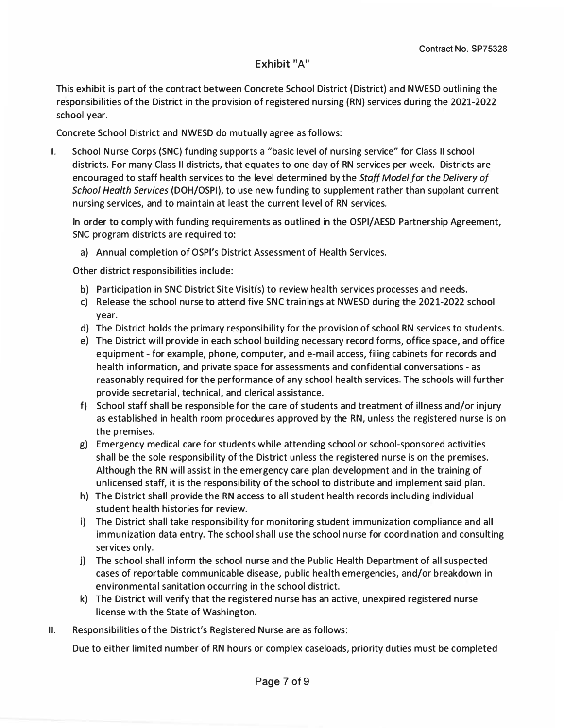# Exhibit "A"

This exhibit is part of the contract between Concrete School District (District) and NWESD outlining the responsibil ities of the District in the provision of registered nursing (RN) services during the 2021-2022 school year.

• Concrete School District and NWESD do mutually agree as follows:

I. School Nurse Corps (SNC) funding supports a "basic level of nursing service" for Class II school districts. For many Class II districts, that equates to one day of RN services per week. Districts are encouraged to staff health services to the level determined by the *Staff Model for the Delivery of School Health Services* (DOH/OSPI), to use new funding to supplement rather than supplant current nursing services, and to maintain at least the current level of RN services.

In order to comply with funding requirements as outlined in the OSPI/AESD Partnership Agreement, SNC program districts are required to:

a) Annual completion of OSPl's District Assessment of Health Services.

Other district responsibilities include:

- b) Participation in SNC District Site Visit(s) to review health services processes and needs.
- c) Release the school nurse to attend five SNC trainings at NWESD during the 2021-2022 school year.
- d) The District holds the primary responsibility for the provision of school RN services to students.
- e) The District will provide in each school building necessary record forms, office space, and office equipment - for example, phone, computer, and e-mail access, filing cabinets for records and health information, and private space for assessments and confidential conversations - as reasonably required for the performance of any school health services. The schools will further provide secretarial, technical, and clerical assistance.
- f) School staff shall be responsible for the care of students and treatment of illness and/or injury as established in health room procedures approved by the RN, unless the registered nurse is on the premises.
- g) Emergency medical care for students while attending school or school-sponsored activities shall be the sole responsibility of the District unless the registered nurse is on the premises. Although the RN will assist in the emergency care plan development and in the training of unlicensed staff, it is the responsibility of the school to distribute and implement said plan.
- h) The District shall provide the RN access to all student health records including individual student health histories for review.
- i) The District shall take responsibility for monitoring student immunization compliance and all immunization data entry. The school shall use the school nurse for coordination and consulting services only.
- j) The school shall inform the school nurse and the Public Health Department of all suspected cases of reportable communicable disease, public health emergencies, and/or breakdown in environmental sanitation occurring in the school district.
- k) The District will verify that the registered nurse has an active, unexpired registered nurse license with the State of Washington.
- II. Responsibilities of the District's Registered Nurse are as follows:

Due to either limited number of RN hours or complex caseloads, priority duties must be completed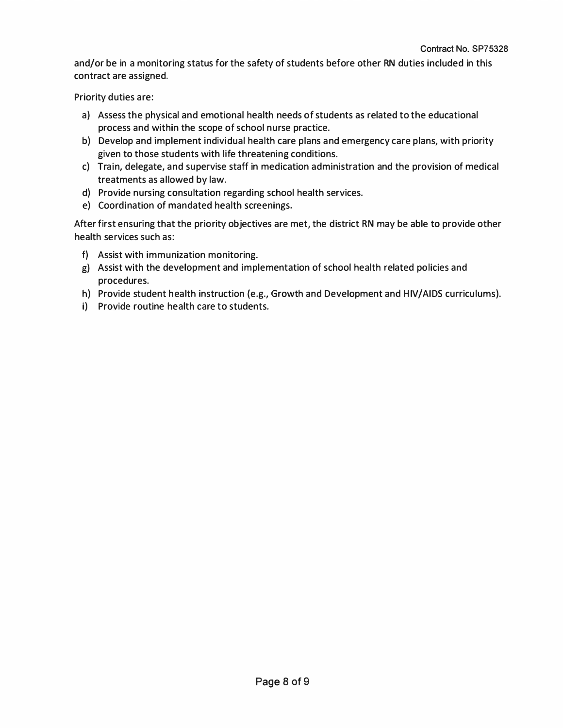and/or be in a monitoring status for the safety of students before other RN duties included in this contract are assigned.

Priority duties are:

- a) Assess the physical and emotional health needs of students as related to the educational process and within the scope of school nurse practice.
- b) Develop and implement individual health care plans and emergency care plans, with priority given to those students with life threatening conditions.
- c) Train, delegate, and supervise staff in medication administration and the provision of medical treatments as allowed by law.
- d) Provide nursing consultation regarding school health services.
- e) Coordination of mandated health screenings.

After first ensuring that the priority objectives are met, the district RN may be able to provide other health services such as:

- f) Assist with immunization monitoring.
- g) Assist with the development and implementation of school health related policies and procedures.
- h) Provide student health instruction {e.g., Growth and Development and HIV/AIDS curriculums).
- i) Provide routine health care to students.